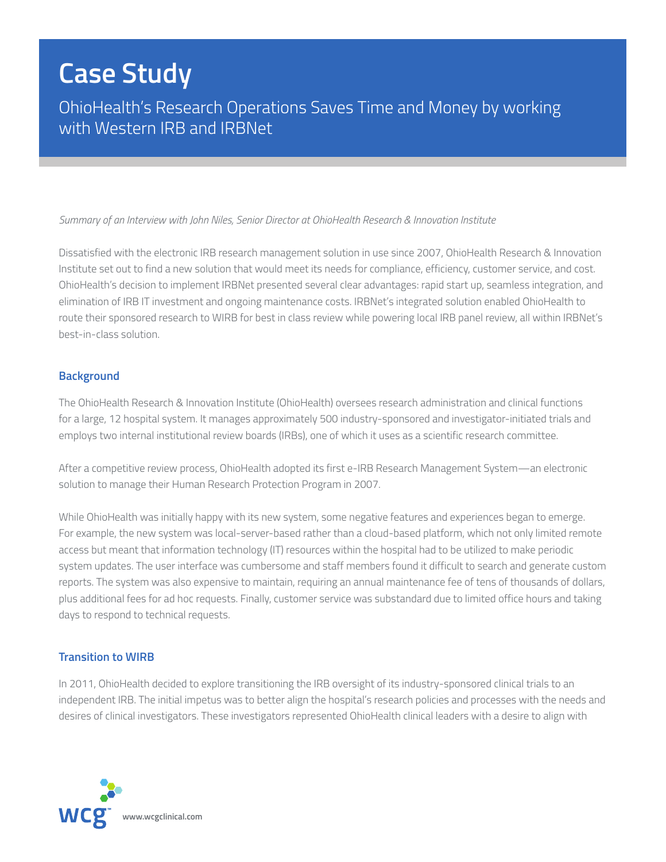# **Case Study**

OhioHealth's Research Operations Saves Time and Money by working with Western IRB and IRBNet

#### *Summary of an Interview with John Niles, Senior Director at OhioHealth Research & Innovation Institute*

Dissatisfied with the electronic IRB research management solution in use since 2007, OhioHealth Research & Innovation Institute set out to find a new solution that would meet its needs for compliance, efficiency, customer service, and cost. OhioHealth's decision to implement IRBNet presented several clear advantages: rapid start up, seamless integration, and elimination of IRB IT investment and ongoing maintenance costs. IRBNet's integrated solution enabled OhioHealth to route their sponsored research to WIRB for best in class review while powering local IRB panel review, all within IRBNet's best-in-class solution.

#### **Background**

The OhioHealth Research & Innovation Institute (OhioHealth) oversees research administration and clinical functions for a large, 12 hospital system. It manages approximately 500 industry-sponsored and investigator-initiated trials and employs two internal institutional review boards (IRBs), one of which it uses as a scientific research committee.

After a competitive review process, OhioHealth adopted its first e-IRB Research Management System—an electronic solution to manage their Human Research Protection Program in 2007.

While OhioHealth was initially happy with its new system, some negative features and experiences began to emerge. For example, the new system was local-server-based rather than a cloud-based platform, which not only limited remote access but meant that information technology (IT) resources within the hospital had to be utilized to make periodic system updates. The user interface was cumbersome and staff members found it difficult to search and generate custom reports. The system was also expensive to maintain, requiring an annual maintenance fee of tens of thousands of dollars, plus additional fees for ad hoc requests. Finally, customer service was substandard due to limited office hours and taking days to respond to technical requests.

#### **Transition to WIRB**

In 2011, OhioHealth decided to explore transitioning the IRB oversight of its industry-sponsored clinical trials to an independent IRB. The initial impetus was to better align the hospital's research policies and processes with the needs and desires of clinical investigators. These investigators represented OhioHealth clinical leaders with a desire to align with

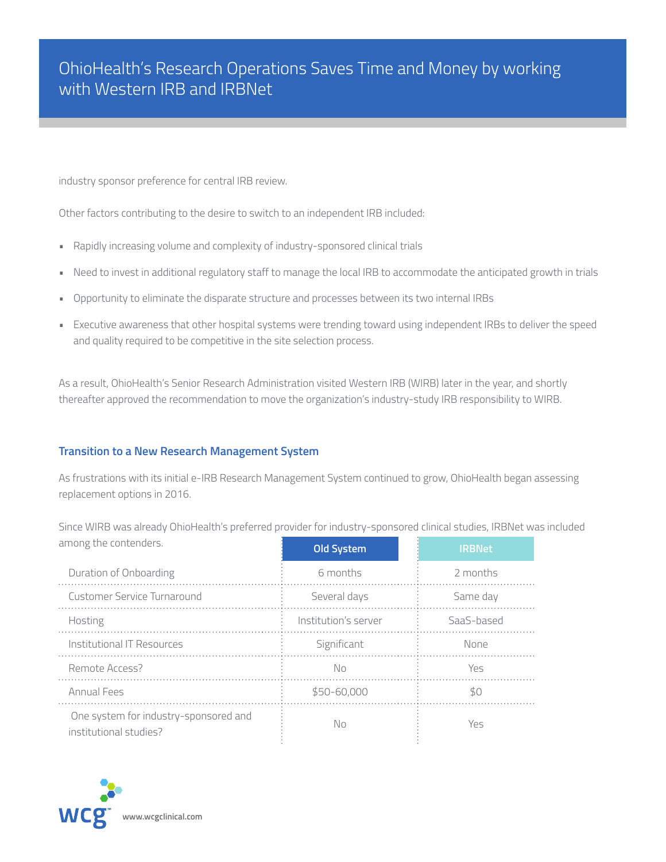industry sponsor preference for central IRB review.

Other factors contributing to the desire to switch to an independent IRB included:

- Rapidly increasing volume and complexity of industry-sponsored clinical trials
- Need to invest in additional regulatory staff to manage the local IRB to accommodate the anticipated growth in trials
- Opportunity to eliminate the disparate structure and processes between its two internal IRBs
- Executive awareness that other hospital systems were trending toward using independent IRBs to deliver the speed and quality required to be competitive in the site selection process.

As a result, OhioHealth's Senior Research Administration visited Western IRB (WIRB) later in the year, and shortly thereafter approved the recommendation to move the organization's industry-study IRB responsibility to WIRB.

### **Transition to a New Research Management System**

As frustrations with its initial e-IRB Research Management System continued to grow, OhioHealth began assessing replacement options in 2016.

Since WIRB was already OhioHealth's preferred provider for industry-sponsored clinical studies, IRBNet was included

| among the contenders.                                           | <b>Old System</b>    | <b>IRBNet</b> |
|-----------------------------------------------------------------|----------------------|---------------|
| Duration of Onboarding                                          | 6 months             | 2 months      |
| Customer Service Turnaround                                     | Several days         | Same day      |
| Hosting                                                         | Institution's server | SaaS-based    |
| Institutional IT Resources                                      | Significant          | None          |
| Remote Access?                                                  | No                   | Yes           |
| <b>Annual Fees</b>                                              | \$50-60,000          | \$0           |
| One system for industry-sponsored and<br>institutional studies? | No                   | Yes           |